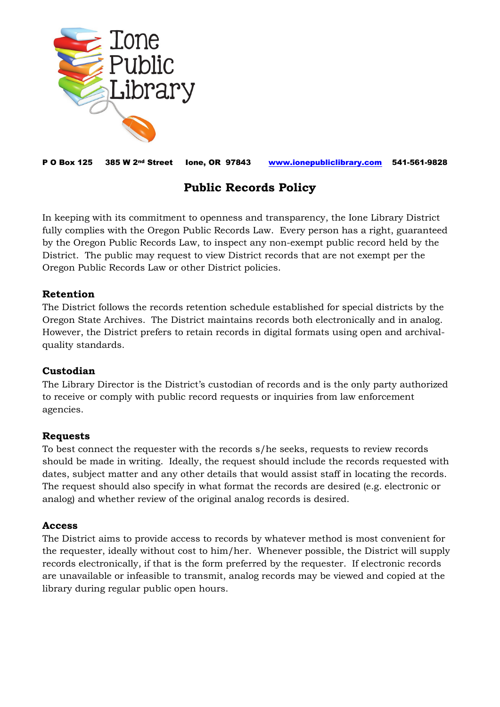

P O Box 125 385 W 2nd Street Ione, OR 97843 [www.ionepubliclibrary.com](http://www.ionepubliclibrary.com/) 541-561-9828

# **Public Records Policy**

In keeping with its commitment to openness and transparency, the Ione Library District fully complies with the Oregon Public Records Law. Every person has a right, guaranteed by the Oregon Public Records Law, to inspect any non-exempt public record held by the District. The public may request to view District records that are not exempt per the Oregon Public Records Law or other District policies.

#### **Retention**

The District follows the records retention schedule established for special districts by the Oregon State Archives. The District maintains records both electronically and in analog. However, the District prefers to retain records in digital formats using open and archivalquality standards.

# **Custodian**

The Library Director is the District's custodian of records and is the only party authorized to receive or comply with public record requests or inquiries from law enforcement agencies.

# **Requests**

To best connect the requester with the records s/he seeks, requests to review records should be made in writing. Ideally, the request should include the records requested with dates, subject matter and any other details that would assist staff in locating the records. The request should also specify in what format the records are desired (e.g. electronic or analog) and whether review of the original analog records is desired.

#### **Access**

The District aims to provide access to records by whatever method is most convenient for the requester, ideally without cost to him/her. Whenever possible, the District will supply records electronically, if that is the form preferred by the requester. If electronic records are unavailable or infeasible to transmit, analog records may be viewed and copied at the library during regular public open hours.